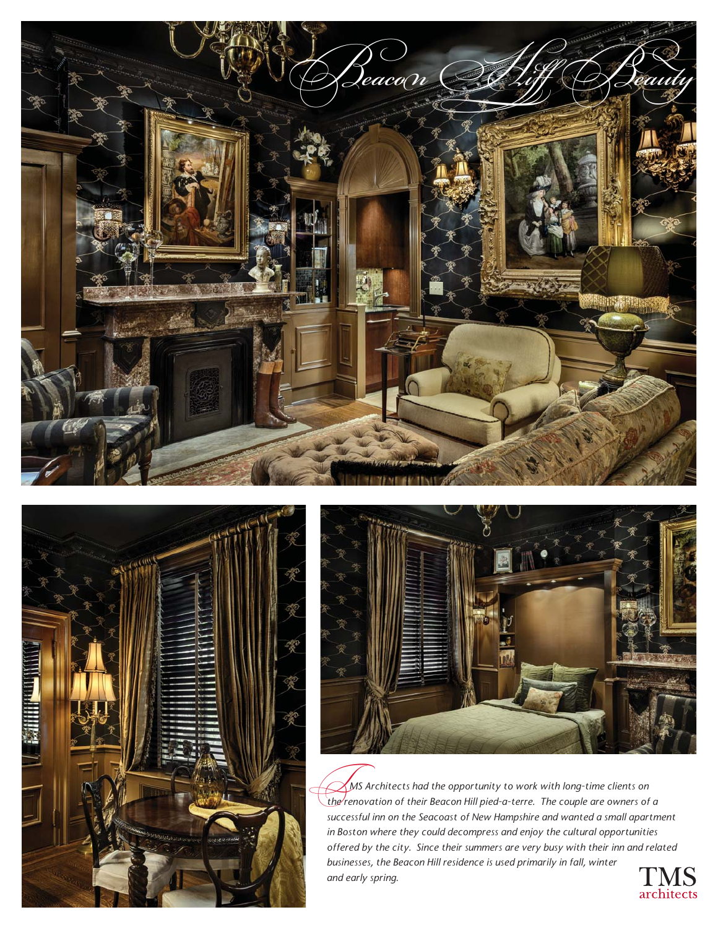





 *MS Architects had the opportunity to work with long-time clients on*  **the renovation of their Beacon Hill pied-a-terre.** The couple are owners of a a line renovation of their Beacon Hill pied-a-terre. The couple are owners of a *successful inn on the Seacoast of New Hampshire and wanted a small apartment in Boston where they could decompress and enjoy the cultural opportunities offered by the city. Since their summers are very busy with their inn and related businesses, the Beacon Hill residence is used primarily in fall, winter and early spring.*